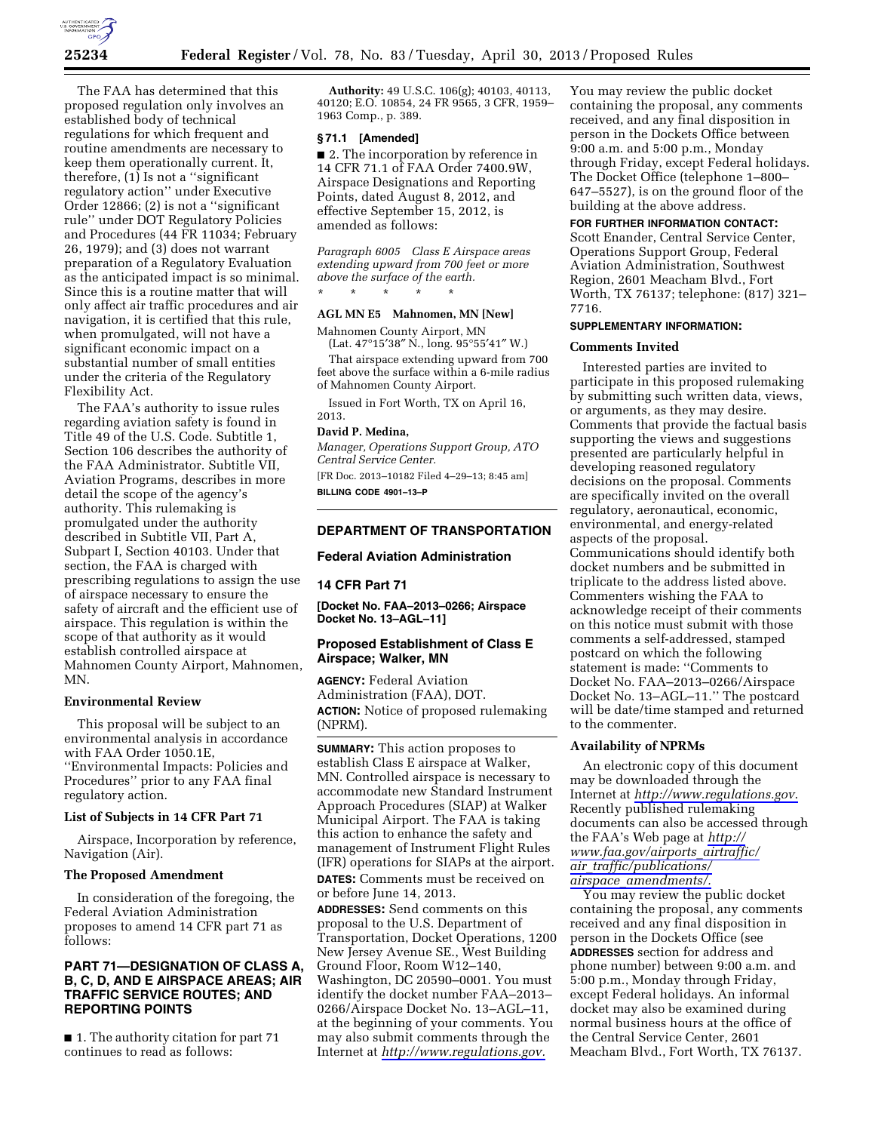

The FAA has determined that this proposed regulation only involves an established body of technical regulations for which frequent and routine amendments are necessary to keep them operationally current. It, therefore, (1) Is not a ''significant regulatory action'' under Executive Order 12866; (2) is not a ''significant rule'' under DOT Regulatory Policies and Procedures (44 FR 11034; February 26, 1979); and (3) does not warrant preparation of a Regulatory Evaluation as the anticipated impact is so minimal. Since this is a routine matter that will only affect air traffic procedures and air navigation, it is certified that this rule, when promulgated, will not have a significant economic impact on a substantial number of small entities under the criteria of the Regulatory Flexibility Act.

The FAA's authority to issue rules regarding aviation safety is found in Title 49 of the U.S. Code. Subtitle 1, Section 106 describes the authority of the FAA Administrator. Subtitle VII, Aviation Programs, describes in more detail the scope of the agency's authority. This rulemaking is promulgated under the authority described in Subtitle VII, Part A, Subpart I, Section 40103. Under that section, the FAA is charged with prescribing regulations to assign the use of airspace necessary to ensure the safety of aircraft and the efficient use of airspace. This regulation is within the scope of that authority as it would establish controlled airspace at Mahnomen County Airport, Mahnomen, MN.

### **Environmental Review**

This proposal will be subject to an environmental analysis in accordance with FAA Order 1050.1E, ''Environmental Impacts: Policies and Procedures'' prior to any FAA final regulatory action.

### **List of Subjects in 14 CFR Part 71**

Airspace, Incorporation by reference, Navigation (Air).

## **The Proposed Amendment**

In consideration of the foregoing, the Federal Aviation Administration proposes to amend 14 CFR part 71 as follows:

# **PART 71—DESIGNATION OF CLASS A, B, C, D, AND E AIRSPACE AREAS; AIR TRAFFIC SERVICE ROUTES; AND REPORTING POINTS**

■ 1. The authority citation for part 71 continues to read as follows:

**Authority:** 49 U.S.C. 106(g); 40103, 40113, 40120; E.O. 10854, 24 FR 9565, 3 CFR, 1959– 1963 Comp., p. 389.

#### **§ 71.1 [Amended]**

■ 2. The incorporation by reference in 14 CFR 71.1 of FAA Order 7400.9W, Airspace Designations and Reporting Points, dated August 8, 2012, and effective September 15, 2012, is amended as follows:

*Paragraph 6005 Class E Airspace areas extending upward from 700 feet or more above the surface of the earth.*  \* \* \* \* \*

# **AGL MN E5 Mahnomen, MN [New]**

Mahnomen County Airport, MN (Lat. 47°15′38″ N., long. 95°55′41″ W.)

That airspace extending upward from 700 feet above the surface within a 6-mile radius of Mahnomen County Airport.

Issued in Fort Worth, TX on April 16, 2013.

# **David P. Medina,**

*Manager, Operations Support Group, ATO Central Service Center.* 

[FR Doc. 2013–10182 Filed 4–29–13; 8:45 am] **BILLING CODE 4901–13–P** 

# **DEPARTMENT OF TRANSPORTATION**

#### **Federal Aviation Administration**

# **14 CFR Part 71**

**[Docket No. FAA–2013–0266; Airspace Docket No. 13–AGL–11]** 

# **Proposed Establishment of Class E Airspace; Walker, MN**

**AGENCY:** Federal Aviation Administration (FAA), DOT. **ACTION:** Notice of proposed rulemaking (NPRM).

**SUMMARY:** This action proposes to establish Class E airspace at Walker, MN. Controlled airspace is necessary to accommodate new Standard Instrument Approach Procedures (SIAP) at Walker Municipal Airport. The FAA is taking this action to enhance the safety and management of Instrument Flight Rules (IFR) operations for SIAPs at the airport. **DATES:** Comments must be received on or before June 14, 2013. **ADDRESSES:** Send comments on this proposal to the U.S. Department of Transportation, Docket Operations, 1200

New Jersey Avenue SE., West Building Ground Floor, Room W12–140, Washington, DC 20590–0001. You must identify the docket number FAA–2013– 0266/Airspace Docket No. 13–AGL–11, at the beginning of your comments. You may also submit comments through the Internet at *[http://www.regulations.gov.](http://www.regulations.gov)* 

You may review the public docket containing the proposal, any comments received, and any final disposition in person in the Dockets Office between 9:00 a.m. and 5:00 p.m., Monday through Friday, except Federal holidays. The Docket Office (telephone 1–800– 647–5527), is on the ground floor of the building at the above address.

#### **FOR FURTHER INFORMATION CONTACT:**

Scott Enander, Central Service Center, Operations Support Group, Federal Aviation Administration, Southwest Region, 2601 Meacham Blvd., Fort Worth, TX 76137; telephone: (817) 321– 7716.

# **SUPPLEMENTARY INFORMATION:**

# **Comments Invited**

Interested parties are invited to participate in this proposed rulemaking by submitting such written data, views, or arguments, as they may desire. Comments that provide the factual basis supporting the views and suggestions presented are particularly helpful in developing reasoned regulatory decisions on the proposal. Comments are specifically invited on the overall regulatory, aeronautical, economic, environmental, and energy-related aspects of the proposal. Communications should identify both docket numbers and be submitted in triplicate to the address listed above. Commenters wishing the FAA to acknowledge receipt of their comments on this notice must submit with those comments a self-addressed, stamped postcard on which the following statement is made: ''Comments to Docket No. FAA–2013–0266/Airspace Docket No. 13–AGL–11.'' The postcard will be date/time stamped and returned to the commenter.

#### **Availability of NPRMs**

An electronic copy of this document may be downloaded through the Internet at *<http://www.regulations.gov>*. Recently published rulemaking documents can also be accessed through the FAA's Web page at *[http://](http://www.faa.gov/airports_airtraffic/air_traffic/publications/airspace_amendments/)  [www.faa.gov/airports](http://www.faa.gov/airports_airtraffic/air_traffic/publications/airspace_amendments/)*\_*airtraffic/ air*\_*[traffic/publications/](http://www.faa.gov/airports_airtraffic/air_traffic/publications/airspace_amendments/) airspace*\_*[amendments/.](http://www.faa.gov/airports_airtraffic/air_traffic/publications/airspace_amendments/)* 

You may review the public docket containing the proposal, any comments received and any final disposition in person in the Dockets Office (see **ADDRESSES** section for address and phone number) between 9:00 a.m. and 5:00 p.m., Monday through Friday, except Federal holidays. An informal docket may also be examined during normal business hours at the office of the Central Service Center, 2601 Meacham Blvd., Fort Worth, TX 76137.